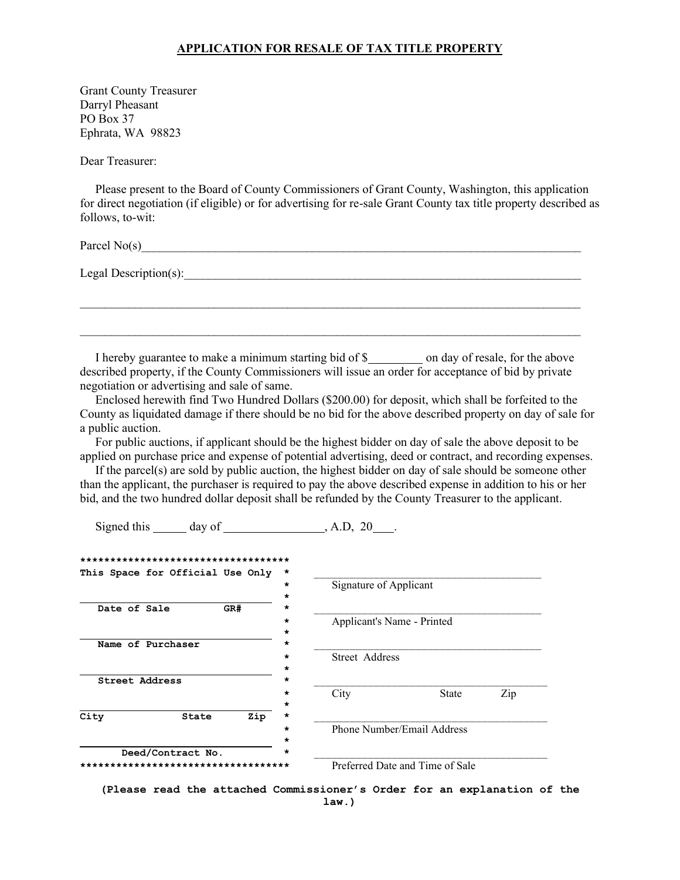## **APPLICATION FOR RESALE OF TAX TITLE PROPERTY**

Grant County Treasurer Darryl Pheasant PO Box 37 Ephrata, WA 98823

Dear Treasurer:

 Please present to the Board of County Commissioners of Grant County, Washington, this application for direct negotiation (if eligible) or for advertising for re-sale Grant County tax title property described as follows, to-wit:

Parcel  $No(s)$ 

Legal Description(s):

I hereby guarantee to make a minimum starting bid of \$ \_\_\_\_\_\_\_\_\_ on day of resale, for the above described property, if the County Commissioners will issue an order for acceptance of bid by private negotiation or advertising and sale of same.

 $\mathcal{L}_\mathcal{L} = \{ \mathcal{L}_\mathcal{L} = \{ \mathcal{L}_\mathcal{L} = \{ \mathcal{L}_\mathcal{L} = \{ \mathcal{L}_\mathcal{L} = \{ \mathcal{L}_\mathcal{L} = \{ \mathcal{L}_\mathcal{L} = \{ \mathcal{L}_\mathcal{L} = \{ \mathcal{L}_\mathcal{L} = \{ \mathcal{L}_\mathcal{L} = \{ \mathcal{L}_\mathcal{L} = \{ \mathcal{L}_\mathcal{L} = \{ \mathcal{L}_\mathcal{L} = \{ \mathcal{L}_\mathcal{L} = \{ \mathcal{L}_\mathcal{$ 

 Enclosed herewith find Two Hundred Dollars (\$200.00) for deposit, which shall be forfeited to the County as liquidated damage if there should be no bid for the above described property on day of sale for a public auction.

 For public auctions, if applicant should be the highest bidder on day of sale the above deposit to be applied on purchase price and expense of potential advertising, deed or contract, and recording expenses.

 If the parcel(s) are sold by public auction, the highest bidder on day of sale should be someone other than the applicant, the purchaser is required to pay the above described expense in addition to his or her bid, and the two hundred dollar deposit shall be refunded by the County Treasurer to the applicant.

Signed this day of , A.D, 20 .

| ************************************ |     |         |                                 |              |     |
|--------------------------------------|-----|---------|---------------------------------|--------------|-----|
| This Space for Official Use Only     |     | *       |                                 |              |     |
|                                      |     | $\star$ | Signature of Applicant          |              |     |
|                                      |     | *       |                                 |              |     |
| Date of Sale                         | GR# | *       |                                 |              |     |
|                                      |     | ÷       | Applicant's Name - Printed      |              |     |
|                                      |     | *       |                                 |              |     |
| Name of Purchaser                    |     | *       |                                 |              |     |
|                                      |     | $\star$ | Street Address                  |              |     |
|                                      |     | $\star$ |                                 |              |     |
| Street Address                       |     | *       |                                 |              |     |
|                                      |     | $\star$ | City                            | <b>State</b> | Zip |
|                                      |     | $\star$ |                                 |              |     |
| City<br>State                        | Zip | *       |                                 |              |     |
|                                      |     | $\star$ | Phone Number/Email Address      |              |     |
|                                      |     | *       |                                 |              |     |
| Deed/Contract No.<br>$\star$         |     |         |                                 |              |     |
| *******************************      |     |         | Preferred Date and Time of Sale |              |     |

**(Please read the attached Commissioner's Order for an explanation of the law.)**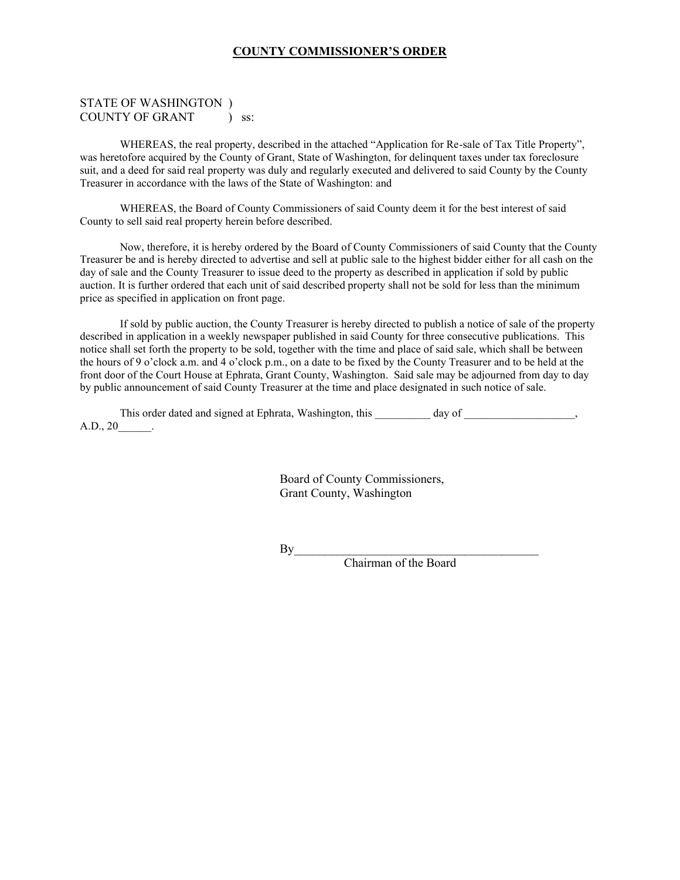## **COUNTY COMMISSIONER'S ORDER**

## STATE OF WASHINGTON ) COUNTY OF GRANT ) ss:

WHEREAS, the real property, described in the attached "Application for Re-sale of Tax Title Property", was heretofore acquired by the County of Grant, State of Washington, for delinquent taxes under tax foreclosure suit, and a deed for said real property was duly and regularly executed and delivered to said County by the County Treasurer in accordance with the laws of the State of Washington: and

WHEREAS, the Board of County Commissioners of said County deem it for the best interest of said County to sell said real property herein before described.

Now, therefore, it is hereby ordered by the Board of County Commissioners of said County that the County Treasurer be and is hereby directed to advertise and sell at public sale to the highest bidder either for all cash on the day of sale and the County Treasurer to issue deed to the property as described in application if sold by public auction. It is further ordered that each unit of said described property shall not be sold for less than the minimum price as specified in application on front page.

If sold by public auction, the County Treasurer is hereby directed to publish a notice of sale of the property described in application in a weekly newspaper published in said County for three consecutive publications. This notice shall set forth the property to be sold, together with the time and place of said sale, which shall be between the hours of 9 o'clock a.m. and 4 o'clock p.m., on a date to be fixed by the County Treasurer and to be held at the front door of the Court House at Ephrata, Grant County, Washington. Said sale may be adjourned from day to day by public announcement of said County Treasurer at the time and place designated in such notice of sale.

This order dated and signed at Ephrata, Washington, this \_\_\_\_\_\_\_\_\_ day of \_\_\_\_\_\_\_\_\_\_\_\_\_\_\_\_, A.D., 20\_\_\_\_\_\_.

> Board of County Commissioners, Grant County, Washington

 $By$ 

Chairman of the Board